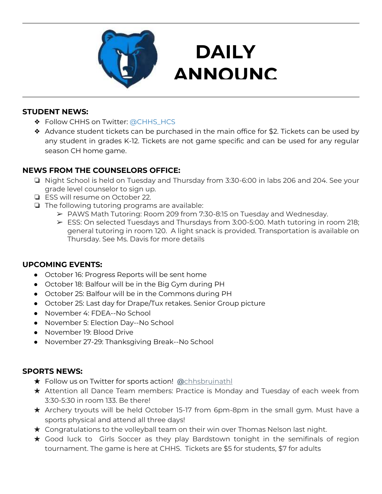

# **DAILY ANNOUNC**

**EMENTS** 

#### **STUDENT NEWS:**

- ❖ Follow CHHS on Twitter: [@CHHS\\_HCS](https://twitter.com/CHHS_HCS)
- ❖ Advance student tickets can be purchased in the main office for \$2. Tickets can be used by any student in grades K-12. Tickets are not game specific and can be used for any regular season CH home game.

#### **NEWS FROM THE COUNSELORS OFFICE:**

- ❏ Night School is held on Tuesday and Thursday from 3:30-6:00 in labs 206 and 204. See your grade level counselor to sign up.
- ❏ ESS will resume on October 22.
- ❏ The following tutoring programs are available:
	- ➢ PAWS Math Tutoring: Room 209 from 7:30-8:15 on Tuesday and Wednesday.
	- ➢ ESS: On selected Tuesdays and Thursdays from 3:00-5:00. Math tutoring in room 218; general tutoring in room 120. A light snack is provided. Transportation is available on Thursday. See Ms. Davis for more details

#### **UPCOMING EVENTS:**

- October 16: Progress Reports will be sent home
- October 18: Balfour will be in the Big Gym during PH
- October 25: Balfour will be in the Commons during PH
- October 25: Last day for Drape/Tux retakes. Senior Group picture
- November 4: FDEA--No School
- November 5: Election Day--No School
- November 19: Blood Drive
- November 27-29: Thanksgiving Break--No School

#### **SPORTS NEWS:**

- ★ Follow us on Twitter for sports action! **[@](https://twitter.com/chhsbruinathl)**[chhsbruinathl](https://twitter.com/chhsbruinathl)
- ★ Attention all Dance Team members: Practice is Monday and Tuesday of each week from 3:30-5:30 in room 133. Be there!
- ★ Archery tryouts will be held October 15-17 from 6pm-8pm in the small gym. Must have a sports physical and attend all three days!
- $\star$  Congratulations to the volleyball team on their win over Thomas Nelson last night.
- ★ Good luck to Girls Soccer as they play Bardstown tonight in the semifinals of region tournament. The game is here at CHHS. Tickets are \$5 for students, \$7 for adults